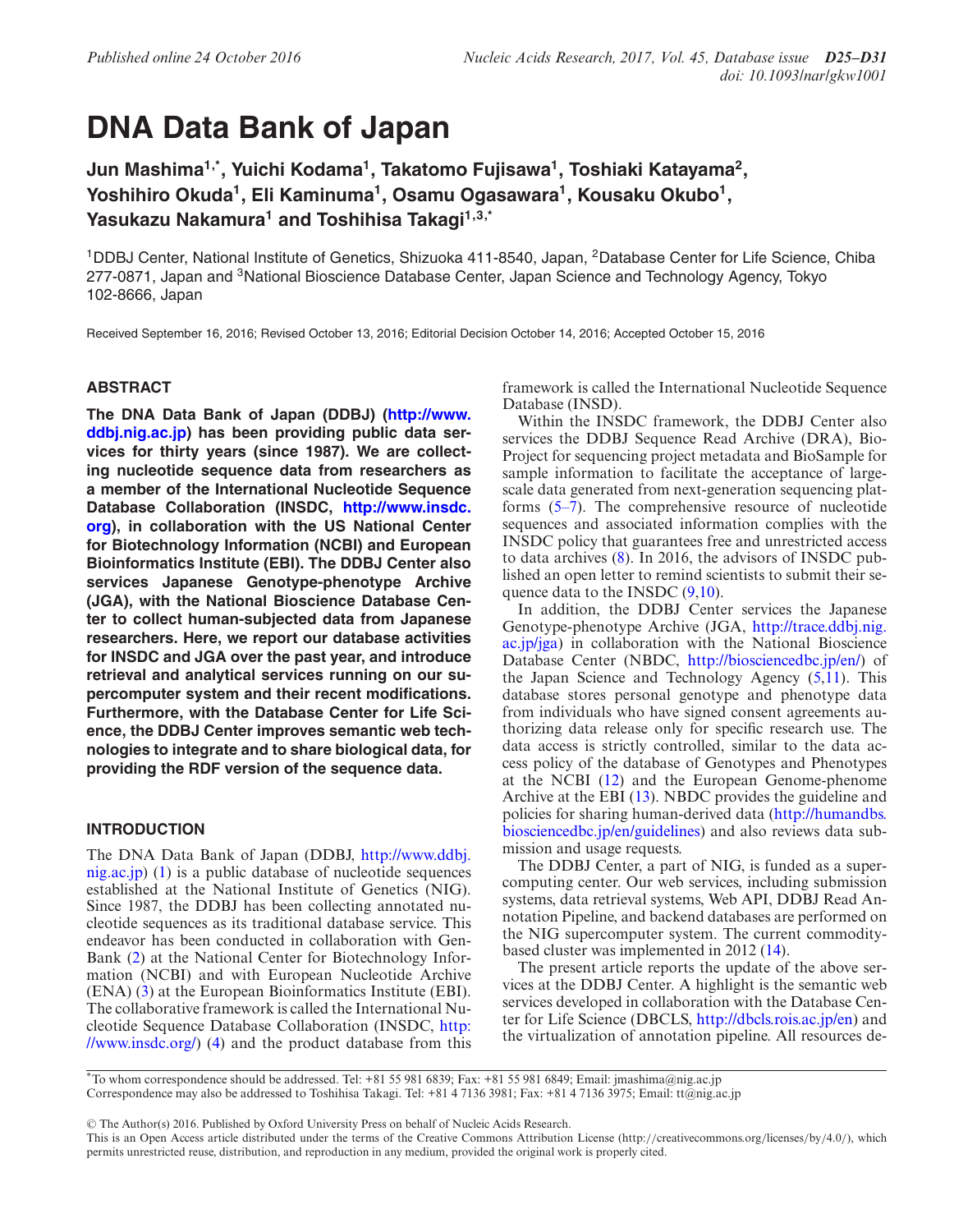# **DNA Data Bank of Japan**

**Jun Mashima1,\*, Yuichi Kodama1, Takatomo Fujisawa1, Toshiaki Katayama2,** Yoshihiro Okuda<sup>1</sup>, Eli Kaminuma<sup>1</sup>, Osamu Ogasawara<sup>1</sup>, Kousaku Okubo<sup>1</sup>, **Yasukazu Nakamura1 and Toshihisa Takagi1,3,\***

<sup>1</sup>DDBJ Center, National Institute of Genetics, Shizuoka 411-8540, Japan, <sup>2</sup>Database Center for Life Science, Chiba 277-0871, Japan and <sup>3</sup>National Bioscience Database Center, Japan Science and Technology Agency, Tokyo 102-8666, Japan

Received September 16, 2016; Revised October 13, 2016; Editorial Decision October 14, 2016; Accepted October 15, 2016

# **ABSTRACT**

**[The DNA Data Bank of Japan \(DDBJ\) \(http://www.](http://www.ddbj.nig.ac.jp) ddbj.nig.ac.jp) has been providing public data services for thirty years (since 1987). We are collecting nucleotide sequence data from researchers as a member of the International Nucleotide Sequence Database Collaboration (INSDC, http://www.insdc. [org\), in collaboration with the US National Center](http://www.insdc.org) for Biotechnology Information (NCBI) and European Bioinformatics Institute (EBI). The DDBJ Center also services Japanese Genotype-phenotype Archive (JGA), with the National Bioscience Database Center to collect human-subjected data from Japanese researchers. Here, we report our database activities for INSDC and JGA over the past year, and introduce retrieval and analytical services running on our supercomputer system and their recent modifications. Furthermore, with the Database Center for Life Science, the DDBJ Center improves semantic web technologies to integrate and to share biological data, for providing the RDF version of the sequence data.**

# **INTRODUCTION**

The DNA Data Bank of Japan (DDBJ, http://www.ddbj. [nig.ac.jp\) \(1\) is a public database of nucleotide sequences](http://www.ddbj.nig.ac.jp) established at the National Institute of Genetics (NIG). Since 1987, the DDBJ has been collecting annotated nucleotide sequences as its traditional database service. This endeavor has been conducted in collaboration with Gen-Bank [\(2\)](#page-5-0) at the National Center for Biotechnology Information (NCBI) and with European Nucleotide Archive (ENA) [\(3\)](#page-5-0) at the European Bioinformatics Institute (EBI). The collaborative framework is called the International Nucleotide Sequence Database Collaboration (INSDC, http: [//www.insdc.org/\) \(4\) and the product database from this](http://www.insdc.org/) framework is called the International Nucleotide Sequence Database (INSD).

Within the INSDC framework, the DDBJ Center also services the DDBJ Sequence Read Archive (DRA), Bio-Project for sequencing project metadata and BioSample for sample information to facilitate the acceptance of largescale data generated from next-generation sequencing platforms [\(5–7\)](#page-5-0). The comprehensive resource of nucleotide sequences and associated information complies with the INSDC policy that guarantees free and unrestricted access to data archives [\(8\)](#page-5-0). In 2016, the advisors of INSDC published an open letter to remind scientists to submit their sequence data to the INSDC [\(9,10\)](#page-5-0).

In addition, the DDBJ Center services the Japanese Genotype-phenotype Archive (JGA, http://trace.ddbj.nig. [ac.jp/jga\) in collaboration with the National Bioscience](http://trace.ddbj.nig.ac.jp/jga) Database Center (NBDC, [http://biosciencedbc.jp/en/\)](http://biosciencedbc.jp/en/) of the Japan Science and Technology Agency [\(5,11\)](#page-5-0). This database stores personal genotype and phenotype data from individuals who have signed consent agreements authorizing data release only for specific research use. The data access is strictly controlled, similar to the data access policy of the database of Genotypes and Phenotypes at the NCBI [\(12\)](#page-5-0) and the European Genome-phenome Archive at the EBI [\(13\)](#page-5-0). NBDC provides the guideline and policies for sharing human-derived data (http://humandbs. [biosciencedbc.jp/en/guidelines\) and also reviews data sub](http://humandbs.biosciencedbc.jp/en/guidelines)mission and usage requests.

The DDBJ Center, a part of NIG, is funded as a supercomputing center. Our web services, including submission systems, data retrieval systems, Web API, DDBJ Read Annotation Pipeline, and backend databases are performed on the NIG supercomputer system. The current commoditybased cluster was implemented in 2012 [\(14\)](#page-5-0).

The present article reports the update of the above services at the DDBJ Center. A highlight is the semantic web services developed in collaboration with the Database Center for Life Science (DBCLS, [http://dbcls.rois.ac.jp/en\)](http://dbcls.rois.ac.jp/en) and the virtualization of annotation pipeline. All resources de-

-<sup>C</sup> The Author(s) 2016. Published by Oxford University Press on behalf of Nucleic Acids Research.

<sup>\*</sup>To whom correspondence should be addressed. Tel: +81 55 981 6839; Fax: +81 55 981 6849; Email: jmashima@nig.ac.jp Correspondence may also be addressed to Toshihisa Takagi. Tel: +81 4 7136 3981; Fax: +81 4 7136 3975; Email: tt@nig.ac.jp

This is an Open Access article distributed under the terms of the Creative Commons Attribution License (http://creativecommons.org/licenses/by/4.0/), which permits unrestricted reuse, distribution, and reproduction in any medium, provided the original work is properly cited.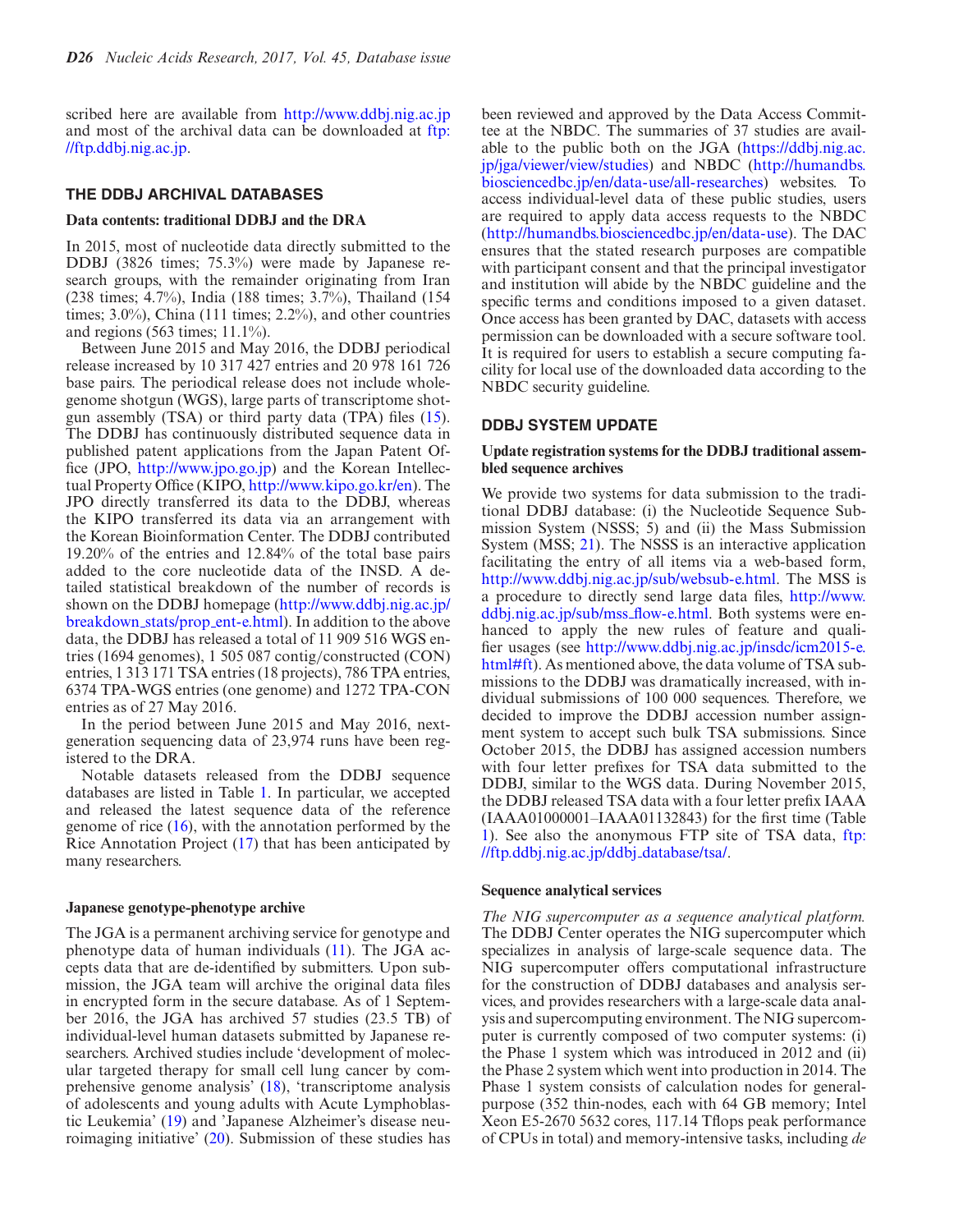scribed here are available from <http://www.ddbj.nig.ac.jp> [and most of the archival data can be downloaded at](ftp://ftp.ddbj.nig.ac.jp) ftp: //ftp.ddbj.nig.ac.jp.

## **THE DDBJ ARCHIVAL DATABASES**

### **Data contents: traditional DDBJ and the DRA**

In 2015, most of nucleotide data directly submitted to the DDBJ (3826 times; 75.3%) were made by Japanese research groups, with the remainder originating from Iran (238 times; 4.7%), India (188 times; 3.7%), Thailand (154 times; 3.0%), China (111 times; 2.2%), and other countries and regions (563 times; 11.1%).

Between June 2015 and May 2016, the DDBJ periodical release increased by 10 317 427 entries and 20 978 161 726 base pairs. The periodical release does not include wholegenome shotgun (WGS), large parts of transcriptome shotgun assembly (TSA) or third party data (TPA) files [\(15\)](#page-5-0). The DDBJ has continuously distributed sequence data in published patent applications from the Japan Patent Office (JPO, [http://www.jpo.go.jp\)](http://www.jpo.go.jp) and the Korean Intellectual Property Office (KIPO, [http://www.kipo.go.kr/en\)](http://www.kipo.go.kr/en). The JPO directly transferred its data to the DDBJ, whereas the KIPO transferred its data via an arrangement with the Korean Bioinformation Center. The DDBJ contributed 19.20% of the entries and 12.84% of the total base pairs added to the core nucleotide data of the INSD. A detailed statistical breakdown of the number of records is [shown on the DDBJ homepage \(http://www.ddbj.nig.ac.jp/](http://www.ddbj.nig.ac.jp/breakdown_stats/prop_ent-e.html) breakdown stats/prop ent-e.html). In addition to the above data, the DDBJ has released a total of 11 909 516 WGS entries (1694 genomes), 1 505 087 contig/constructed (CON) entries, 1 313 171 TSA entries (18 projects), 786 TPA entries, 6374 TPA-WGS entries (one genome) and 1272 TPA-CON entries as of 27 May 2016.

In the period between June 2015 and May 2016, nextgeneration sequencing data of 23,974 runs have been registered to the DRA.

Notable datasets released from the DDBJ sequence databases are listed in Table [1.](#page-2-0) In particular, we accepted and released the latest sequence data of the reference genome of rice [\(16\)](#page-5-0), with the annotation performed by the Rice Annotation Project [\(17\)](#page-5-0) that has been anticipated by many researchers.

## **Japanese genotype-phenotype archive**

The JGA is a permanent archiving service for genotype and phenotype data of human individuals [\(11\)](#page-5-0). The JGA accepts data that are de-identified by submitters. Upon submission, the JGA team will archive the original data files in encrypted form in the secure database. As of 1 September 2016, the JGA has archived 57 studies (23.5 TB) of individual-level human datasets submitted by Japanese researchers. Archived studies include 'development of molecular targeted therapy for small cell lung cancer by comprehensive genome analysis' [\(18\)](#page-5-0), 'transcriptome analysis of adolescents and young adults with Acute Lymphoblastic Leukemia' [\(19\)](#page-5-0) and 'Japanese Alzheimer's disease neuroimaging initiative' [\(20\)](#page-5-0). Submission of these studies has

been reviewed and approved by the Data Access Committee at the NBDC. The summaries of 37 studies are avail[able to the public both on the JGA \(https://ddbj.nig.ac.](https://ddbj.nig.ac.jp/jga/viewer/view/studies) [jp/jga/viewer/view/studies\) and NBDC \(http://humandbs.](http://humandbs.biosciencedbc.jp/en/data-use/all-researches) biosciencedbc.jp/en/data-use/all-researches) websites. To access individual-level data of these public studies, users are required to apply data access requests to the NBDC [\(http://humandbs.biosciencedbc.jp/en/data-use\)](http://humandbs.biosciencedbc.jp/en/data-use). The DAC ensures that the stated research purposes are compatible with participant consent and that the principal investigator and institution will abide by the NBDC guideline and the specific terms and conditions imposed to a given dataset. Once access has been granted by DAC, datasets with access permission can be downloaded with a secure software tool. It is required for users to establish a secure computing facility for local use of the downloaded data according to the NBDC security guideline.

### **DDBJ SYSTEM UPDATE**

## **Update registration systems for the DDBJ traditional assembled sequence archives**

We provide two systems for data submission to the traditional DDBJ database: (i) the Nucleotide Sequence Submission System (NSSS; 5) and (ii) the Mass Submission System (MSS; [21\)](#page-5-0). The NSSS is an interactive application facilitating the entry of all items via a web-based form, [http://www.ddbj.nig.ac.jp/sub/websub-e.html.](http://www.ddbj.nig.ac.jp/sub/websub-e.html) The MSS is [a procedure to directly send large data files,](http://www.ddbj.nig.ac.jp/sub/mss_flow-e.html) http://www. ddbj.nig.ac.jp/sub/mss\_flow-e.html. Both systems were enhanced to apply the new rules of feature and qualifier usages (see http://www.ddbj.nig.ac.jp/insdc/icm2015-e. [html#ft\). As mentioned above, the data volume of TSA sub](http://www.ddbj.nig.ac.jp/insdc/icm2015-e.html#ft)missions to the DDBJ was dramatically increased, with individual submissions of 100 000 sequences. Therefore, we decided to improve the DDBJ accession number assignment system to accept such bulk TSA submissions. Since October 2015, the DDBJ has assigned accession numbers with four letter prefixes for TSA data submitted to the DDBJ, similar to the WGS data. During November 2015, the DDBJ released TSA data with a four letter prefix IAAA (IAAA01000001–IAAA01132843) for the first time (Table [1](#page-2-0)[\). See also the anonymous FTP site of TSA data,](ftp://ftp.ddbj.nig.ac.jp/ddbj_database/tsa/) ftp: //ftp.ddbj.nig.ac.jp/ddbj database/tsa/.

### **Sequence analytical services**

*The NIG supercomputer as a sequence analytical platform.* The DDBJ Center operates the NIG supercomputer which specializes in analysis of large-scale sequence data. The NIG supercomputer offers computational infrastructure for the construction of DDBJ databases and analysis services, and provides researchers with a large-scale data analysis and supercomputing environment. The NIG supercomputer is currently composed of two computer systems: (i) the Phase 1 system which was introduced in 2012 and (ii) the Phase 2 system which went into production in 2014. The Phase 1 system consists of calculation nodes for generalpurpose (352 thin-nodes, each with 64 GB memory; Intel Xeon E5-2670 5632 cores, 117.14 Tflops peak performance of CPUs in total) and memory-intensive tasks, including *de*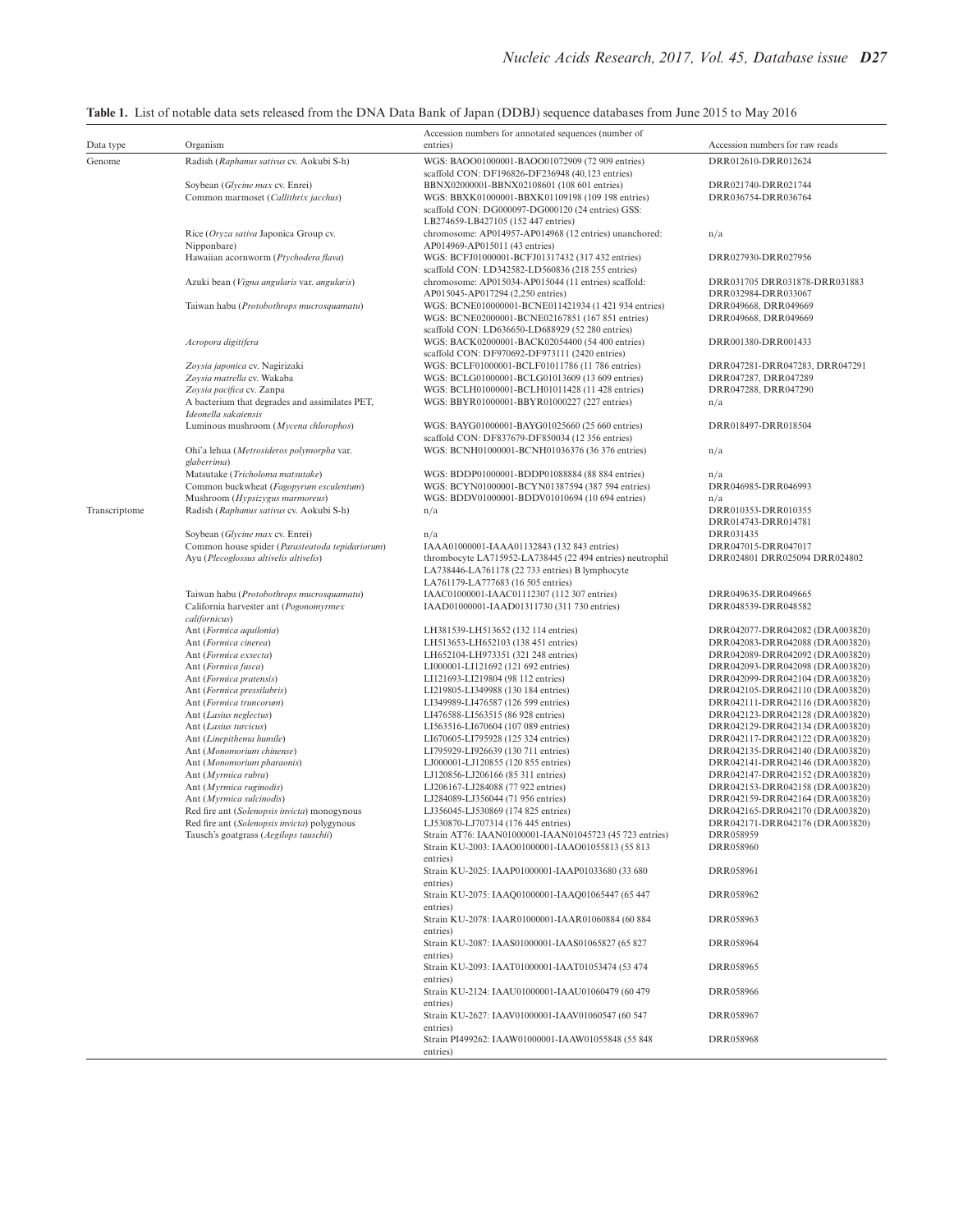| Data type     | Organism                                                                    | Accession numbers for annotated sequences (number of<br>entries)                                             | Accession numbers for raw reads                                    |
|---------------|-----------------------------------------------------------------------------|--------------------------------------------------------------------------------------------------------------|--------------------------------------------------------------------|
| Genome        | Radish (Raphanus sativus cv. Aokubi S-h)                                    | WGS: BAOO01000001-BAOO01072909 (72 909 entries)                                                              | DRR012610-DRR012624                                                |
|               |                                                                             | scaffold CON: DF196826-DF236948 (40,123 entries)                                                             |                                                                    |
|               | Soybean (Glycine max cv. Enrei)                                             | BBNX02000001-BBNX02108601 (108 601 entries)                                                                  | DRR021740-DRR021744                                                |
|               | Common marmoset (Callithrix jacchus)                                        | WGS: BBXK01000001-BBXK01109198 (109 198 entries)<br>scaffold CON: DG000097-DG000120 (24 entries) GSS:        | DRR036754-DRR036764                                                |
|               |                                                                             | LB274659-LB427105 (152 447 entries)                                                                          |                                                                    |
|               | Rice (Oryza sativa Japonica Group cv.                                       | chromosome: AP014957-AP014968 (12 entries) unanchored:                                                       | n/a                                                                |
|               | Nipponbare)                                                                 | AP014969-AP015011 (43 entries)                                                                               |                                                                    |
|               | Hawaiian acornworm (Ptychodera flava)                                       | WGS: BCFJ01000001-BCFJ01317432 (317 432 entries)                                                             | DRR027930-DRR027956                                                |
|               | Azuki bean (Vigna angularis var. angularis)                                 | scaffold CON: LD342582-LD560836 (218 255 entries)<br>chromosome: AP015034-AP015044 (11 entries) scaffold:    | DRR031705 DRR031878-DRR031883                                      |
|               |                                                                             | AP015045-AP017294 (2,250 entries)                                                                            | DRR032984-DRR033067                                                |
|               | Taiwan habu (Protobothrops mucrosquamatu)                                   | WGS: BCNE010000001-BCNE011421934 (1 421 934 entries)                                                         | DRR049668, DRR049669                                               |
|               |                                                                             | WGS: BCNE02000001-BCNE02167851 (167 851 entries)                                                             | DRR049668, DRR049669                                               |
|               |                                                                             | scaffold CON: LD636650-LD688929 (52 280 entries)                                                             |                                                                    |
|               | Acropora digitifera                                                         | WGS: BACK02000001-BACK02054400 (54 400 entries)<br>scaffold CON: DF970692-DF973111 (2420 entries)            | DRR001380-DRR001433                                                |
|               | Zoysia japonica cv. Nagirizaki                                              | WGS: BCLF01000001-BCLF01011786 (11 786 entries)                                                              | DRR047281-DRR047283, DRR047291                                     |
|               | Zoysia matrella cv. Wakaba                                                  | WGS: BCLG01000001-BCLG01013609 (13 609 entries)                                                              | DRR047287, DRR047289                                               |
|               | Zoysia pacifica cv. Zanpa                                                   | WGS: BCLH01000001-BCLH01011428 (11 428 entries)                                                              | DRR047288, DRR047290                                               |
|               | A bacterium that degrades and assimilates PET,                              | WGS: BBYR01000001-BBYR01000227 (227 entries)                                                                 | n/a                                                                |
|               | Ideonella sakaiensis<br>Luminous mushroom (Mycena chlorophos)               | WGS: BAYG01000001-BAYG01025660 (25 660 entries)                                                              | DRR018497-DRR018504                                                |
|               |                                                                             | scaffold CON: DF837679-DF850034 (12 356 entries)                                                             |                                                                    |
|               | Ohi'a lehua (Metrosideros polymorpha var.                                   | WGS: BCNH01000001-BCNH01036376 (36 376 entries)                                                              | n/a                                                                |
|               | glaberrima)                                                                 |                                                                                                              |                                                                    |
|               | Matsutake (Tricholoma matsutake)                                            | WGS: BDDP01000001-BDDP01088884 (88 884 entries)                                                              | n/a                                                                |
|               | Common buckwheat (Fagopyrum esculentum)                                     | WGS: BCYN01000001-BCYN01387594 (387 594 entries)<br>WGS: BDDV01000001-BDDV01010694 (10 694 entries)          | DRR046985-DRR046993                                                |
| Transcriptome | Mushroom (Hypsizygus marmoreus)<br>Radish (Raphanus sativus cv. Aokubi S-h) | n/a                                                                                                          | n/a<br>DRR010353-DRR010355                                         |
|               |                                                                             |                                                                                                              | DRR014743-DRR014781                                                |
|               | Soybean (Glycine max cv. Enrei)                                             | n/a                                                                                                          | DRR031435                                                          |
|               | Common house spider (Parasteatoda tepidariorum)                             | IAAA01000001-IAAA01132843 (132 843 entries)                                                                  | DRR047015-DRR047017                                                |
|               | Ayu (Plecoglossus altivelis altivelis)                                      | thrombocyte LA715952-LA738445 (22 494 entries) neutrophil<br>LA738446-LA761178 (22 733 entries) B lymphocyte | DRR024801 DRR025094 DRR024802                                      |
|               |                                                                             | LA761179-LA777683 (16 505 entries)                                                                           |                                                                    |
|               | Taiwan habu (Protobothrops mucrosquamatu)                                   | IAAC01000001-IAAC01112307 (112 307 entries)                                                                  | DRR049635-DRR049665                                                |
|               | California harvester ant (Pogonomyrmex                                      | IAAD01000001-IAAD01311730 (311 730 entries)                                                                  | DRR048539-DRR048582                                                |
|               | californicus)                                                               |                                                                                                              |                                                                    |
|               | Ant (Formica aquilonia)<br>Ant (Formica cinerea)                            | LH381539-LH513652 (132 114 entries)<br>LH513653-LH652103 (138 451 entries)                                   | DRR042077-DRR042082 (DRA003820)<br>DRR042083-DRR042088 (DRA003820) |
|               | Ant (Formica exsecta)                                                       | LH652104-LH973351 (321 248 entries)                                                                          | DRR042089-DRR042092 (DRA003820)                                    |
|               | Ant (Formica fusca)                                                         | LI000001-LI121692 (121 692 entries)                                                                          | DRR042093-DRR042098 (DRA003820)                                    |
|               | Ant (Formica pratensis)                                                     | LI121693-LI219804 (98 112 entries)                                                                           | DRR042099-DRR042104 (DRA003820)                                    |
|               | Ant (Formica pressilabris)                                                  | LI219805-LI349988 (130 184 entries)                                                                          | DRR042105-DRR042110 (DRA003820)                                    |
|               | Ant (Formica truncorum)<br>Ant (Lasius neglectus)                           | LI349989-LI476587 (126 599 entries)<br>LI476588-LI563515 (86 928 entries)                                    | DRR042111-DRR042116 (DRA003820)<br>DRR042123-DRR042128 (DRA003820) |
|               | Ant (Lasius turcicus)                                                       | LI563516-LI670604 (107 089 entries)                                                                          | DRR042129-DRR042134 (DRA003820)                                    |
|               | Ant (Linepithema humile)                                                    | LI670605-LI795928 (125 324 entries)                                                                          | DRR042117-DRR042122 (DRA003820)                                    |
|               | Ant (Monomorium chinense)                                                   | LI795929-LI926639 (130 711 entries)                                                                          | DRR042135-DRR042140 (DRA003820)                                    |
|               | Ant (Monomorium pharaonis)                                                  | LJ000001-LJ120855 (120 855 entries)                                                                          | DRR042141-DRR042146 (DRA003820)                                    |
|               | Ant (Myrmica rubra)<br>Ant (Myrmica ruginodis)                              | LJ120856-LJ206166 (85 311 entries)<br>LJ206167-LJ284088 (77 922 entries)                                     | DRR042147-DRR042152 (DRA003820)<br>DRR042153-DRR042158 (DRA003820) |
|               | Ant (Myrmica sulcinodis)                                                    | LJ284089-LJ356044 (71 956 entries)                                                                           | DRR042159-DRR042164 (DRA003820)                                    |
|               | Red fire ant (Solenopsis invicta) monogynous                                | LJ356045-LJ530869 (174 825 entries)                                                                          | DRR042165-DRR042170 (DRA003820)                                    |
|               | Red fire ant (Solenopsis invicta) polygynous                                | LJ530870-LJ707314 (176 445 entries)                                                                          | DRR042171-DRR042176 (DRA003820)                                    |
|               | Tausch's goatgrass (Aegilops tauschii)                                      | Strain AT76: IAAN01000001-IAAN01045723 (45 723 entries)                                                      | DRR058959                                                          |
|               |                                                                             | Strain KU-2003: IAAO01000001-IAAO01055813 (55 813<br>entries)                                                | DRR058960                                                          |
|               |                                                                             | Strain KU-2025: IAAP01000001-IAAP01033680 (33 680)                                                           | DRR058961                                                          |
|               |                                                                             | entries)                                                                                                     |                                                                    |
|               |                                                                             | Strain KU-2075: IAAQ01000001-IAAQ01065447 (65 447                                                            | DRR058962                                                          |
|               |                                                                             | entries)<br>Strain KU-2078: IAAR01000001-IAAR01060884 (60 884                                                | DRR058963                                                          |
|               |                                                                             | entries)                                                                                                     |                                                                    |
|               |                                                                             | Strain KU-2087: IAAS01000001-IAAS01065827 (65 827                                                            | DRR058964                                                          |
|               |                                                                             | entries)                                                                                                     |                                                                    |
|               |                                                                             | Strain KU-2093: IAAT01000001-IAAT01053474 (53 474                                                            | DRR058965                                                          |
|               |                                                                             | entries)<br>Strain KU-2124: IAAU01000001-IAAU01060479 (60 479                                                | DRR058966                                                          |
|               |                                                                             | entries)                                                                                                     |                                                                    |
|               |                                                                             | Strain KU-2627: IAAV01000001-IAAV01060547 (60 547                                                            | DRR058967                                                          |
|               |                                                                             | entries)                                                                                                     |                                                                    |
|               |                                                                             | Strain PI499262: IAAW01000001-IAAW01055848 (55 848                                                           | DRR058968                                                          |
|               |                                                                             | entries)                                                                                                     |                                                                    |

<span id="page-2-0"></span>**Table 1.** List of notable data sets released from the DNA Data Bank of Japan (DDBJ) sequence databases from June 2015 to May 2016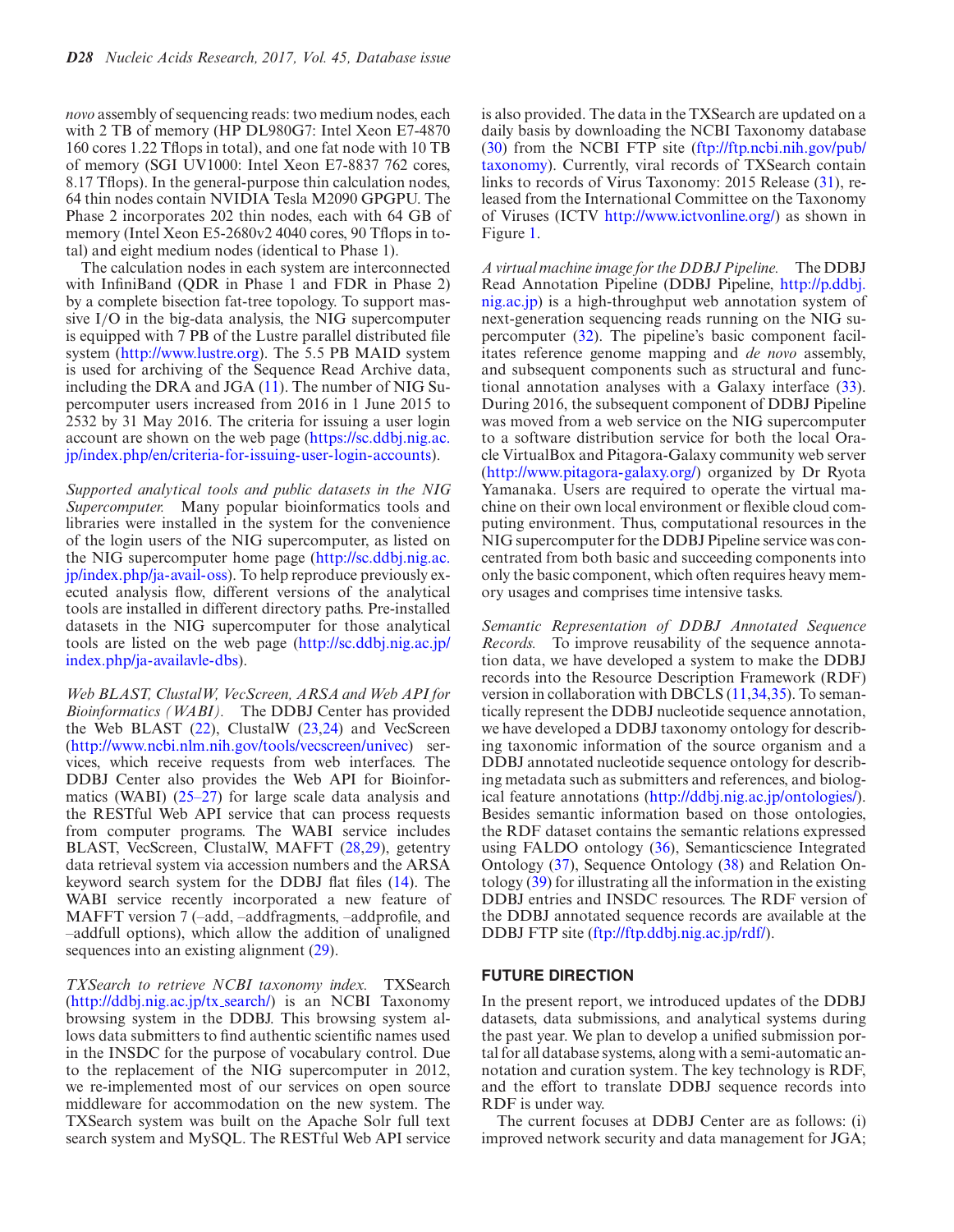*novo* assembly of sequencing reads: two medium nodes, each with 2 TB of memory (HP DL980G7: Intel Xeon E7-4870 160 cores 1.22 Tflops in total), and one fat node with 10 TB of memory (SGI UV1000: Intel Xeon E7-8837 762 cores, 8.17 Tflops). In the general-purpose thin calculation nodes, 64 thin nodes contain NVIDIA Tesla M2090 GPGPU. The Phase 2 incorporates 202 thin nodes, each with 64 GB of memory (Intel Xeon E5-2680v2 4040 cores, 90 Tflops in total) and eight medium nodes (identical to Phase 1).

The calculation nodes in each system are interconnected with InfiniBand (QDR in Phase 1 and FDR in Phase 2) by a complete bisection fat-tree topology. To support massive I/O in the big-data analysis, the NIG supercomputer is equipped with 7 PB of the Lustre parallel distributed file system [\(http://www.lustre.org\)](http://www.lustre.org). The 5.5 PB MAID system is used for archiving of the Sequence Read Archive data, including the DRA and JGA [\(11\)](#page-5-0). The number of NIG Supercomputer users increased from 2016 in 1 June 2015 to 2532 by 31 May 2016. The criteria for issuing a user login [account are shown on the web page \(https://sc.ddbj.nig.ac.](https://sc.ddbj.nig.ac.jp/index.php/en/criteria-for-issuing-user-login-accounts) jp/index.php/en/criteria-for-issuing-user-login-accounts).

*Supported analytical tools and public datasets in the NIG Supercomputer.* Many popular bioinformatics tools and libraries were installed in the system for the convenience of the login users of the NIG supercomputer, as listed on [the NIG supercomputer home page \(http://sc.ddbj.nig.ac.](http://sc.ddbj.nig.ac.jp/index.php/ja-avail-oss) jp/index.php/ja-avail-oss). To help reproduce previously executed analysis flow, different versions of the analytical tools are installed in different directory paths. Pre-installed datasets in the NIG supercomputer for those analytical [tools are listed on the web page \(http://sc.ddbj.nig.ac.jp/](http://sc.ddbj.nig.ac.jp/index.php/ja-availavle-dbs) index.php/ja-availavle-dbs).

*Web BLAST, ClustalW, VecScreen, ARSA and Web API for Bioinformatics (WABI).* The DDBJ Center has provided the Web BLAST  $(22)$ , ClustalW  $(23,24)$  and VecScreen [\(http://www.ncbi.nlm.nih.gov/tools/vecscreen/univec\)](http://www.ncbi.nlm.nih.gov/tools/vecscreen/univec) services, which receive requests from web interfaces. The DDBJ Center also provides the Web API for Bioinformatics (WABI) [\(25–27\)](#page-5-0) for large scale data analysis and the RESTful Web API service that can process requests from computer programs. The WABI service includes BLAST, VecScreen, ClustalW, MAFFT [\(28,29\)](#page-5-0), getentry data retrieval system via accession numbers and the ARSA keyword search system for the DDBJ flat files [\(14\)](#page-5-0). The WABI service recently incorporated a new feature of MAFFT version 7 (–add, –addfragments, –addprofile, and –addfull options), which allow the addition of unaligned sequences into an existing alignment [\(29\)](#page-5-0).

*TXSearch to retrieve NCBI taxonomy index.* TXSearch [\(http://ddbj.nig.ac.jp/tx](http://ddbj.nig.ac.jp/tx_search/) search/) is an NCBI Taxonomy browsing system in the DDBJ. This browsing system allows data submitters to find authentic scientific names used in the INSDC for the purpose of vocabulary control. Due to the replacement of the NIG supercomputer in 2012, we re-implemented most of our services on open source middleware for accommodation on the new system. The TXSearch system was built on the Apache Solr full text search system and MySQL. The RESTful Web API service

is also provided. The data in the TXSearch are updated on a daily basis by downloading the NCBI Taxonomy database [\(](ftp://ftp.ncbi.nih.gov/pub/taxonomy)[30](#page-5-0)[\) from the NCBI FTP site \(ftp://ftp.ncbi.nih.gov/pub/](ftp://ftp.ncbi.nih.gov/pub/taxonomy) taxonomy). Currently, viral records of TXSearch contain links to records of Virus Taxonomy: 2015 Release [\(31\)](#page-5-0), released from the International Committee on the Taxonomy of Viruses (ICTV [http://www.ictvonline.org/\)](http://www.ictvonline.org/) as shown in Figure [1.](#page-4-0)

*A virtual machine image for the DDBJ Pipeline.* The DDBJ Read Annotation Pipeline (DDBJ Pipeline, http://p.ddbj. [nig.ac.jp\) is a high-throughput web annotation system of](http://p.ddbj.nig.ac.jp) next-generation sequencing reads running on the NIG supercomputer [\(32\)](#page-6-0). The pipeline's basic component facilitates reference genome mapping and *de novo* assembly, and subsequent components such as structural and functional annotation analyses with a Galaxy interface [\(33\)](#page-6-0). During 2016, the subsequent component of DDBJ Pipeline was moved from a web service on the NIG supercomputer to a software distribution service for both the local Oracle VirtualBox and Pitagora-Galaxy community web server [\(http://www.pitagora-galaxy.org/\)](http://www.pitagora-galaxy.org/) organized by Dr Ryota Yamanaka. Users are required to operate the virtual machine on their own local environment or flexible cloud computing environment. Thus, computational resources in the NIG supercomputer for the DDBJ Pipeline service was concentrated from both basic and succeeding components into only the basic component, which often requires heavy memory usages and comprises time intensive tasks.

*Semantic Representation of DDBJ Annotated Sequence Records.* To improve reusability of the sequence annotation data, we have developed a system to make the DDBJ records into the Resource Description Framework (RDF) version in collaboration with DBCLS [\(11,](#page-5-0)[34,35\)](#page-6-0). To semantically represent the DDBJ nucleotide sequence annotation, we have developed a DDBJ taxonomy ontology for describing taxonomic information of the source organism and a DDBJ annotated nucleotide sequence ontology for describing metadata such as submitters and references, and biological feature annotations [\(http://ddbj.nig.ac.jp/ontologies/\)](http://ddbj.nig.ac.jp/ontologies/). Besides semantic information based on those ontologies, the RDF dataset contains the semantic relations expressed using FALDO ontology [\(36\)](#page-6-0), Semanticscience Integrated Ontology [\(37\)](#page-6-0), Sequence Ontology [\(38\)](#page-6-0) and Relation Ontology [\(39\)](#page-6-0) for illustrating all the information in the existing DDBJ entries and INSDC resources. The RDF version of the DDBJ annotated sequence records are available at the DDBJ FTP site [\(ftp://ftp.ddbj.nig.ac.jp/rdf/\)](ftp://ftp.ddbj.nig.ac.jp/rdf/).

## **FUTURE DIRECTION**

In the present report, we introduced updates of the DDBJ datasets, data submissions, and analytical systems during the past year. We plan to develop a unified submission portal for all database systems, along with a semi-automatic annotation and curation system. The key technology is RDF, and the effort to translate DDBJ sequence records into RDF is under way.

The current focuses at DDBJ Center are as follows: (i) improved network security and data management for JGA;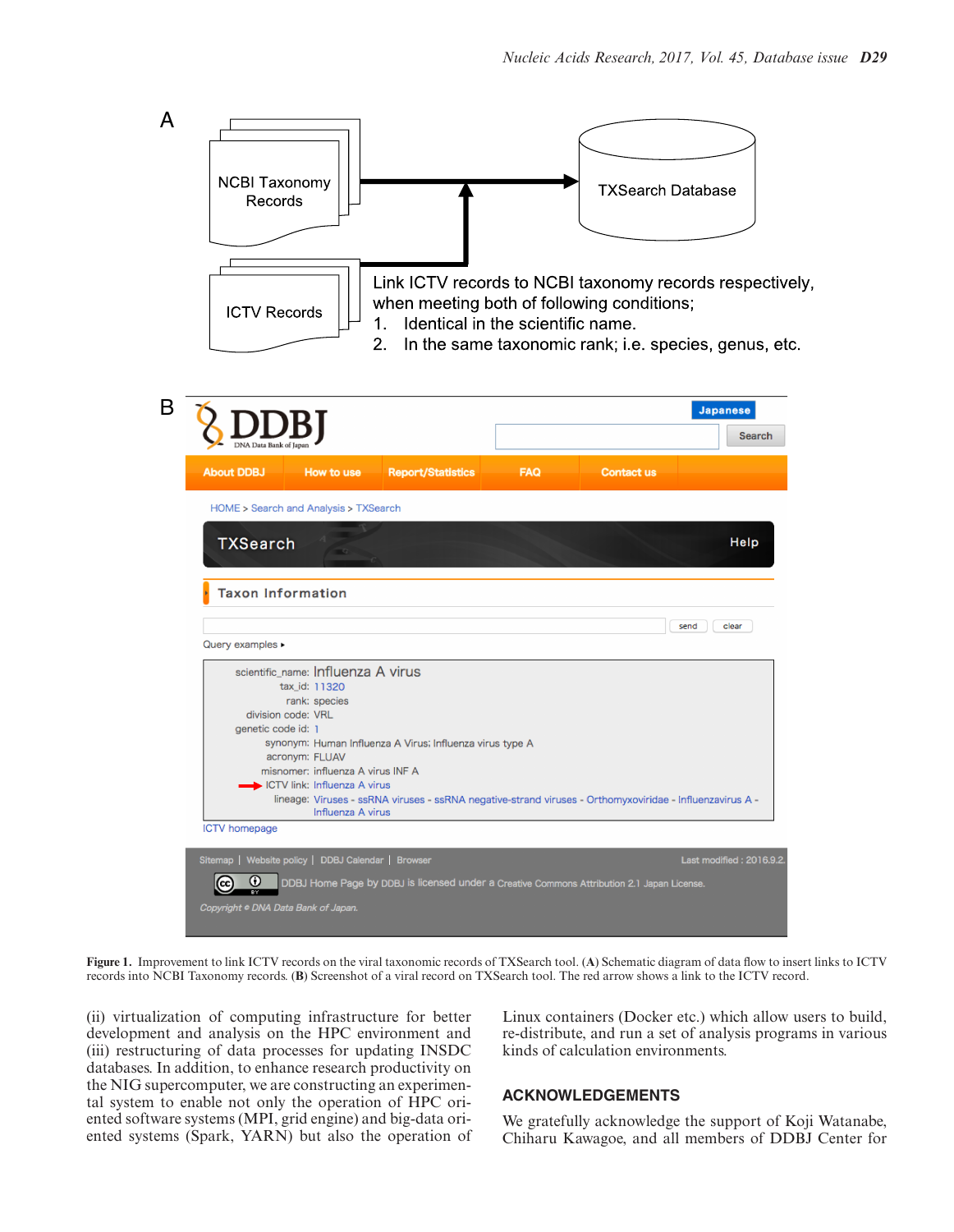<span id="page-4-0"></span>

**Figure 1.** Improvement to link ICTV records on the viral taxonomic records of TXSearch tool. (**A**) Schematic diagram of data flow to insert links to ICTV records into NCBI Taxonomy records. (**B**) Screenshot of a viral record on TXSearch tool. The red arrow shows a link to the ICTV record.

(ii) virtualization of computing infrastructure for better development and analysis on the HPC environment and (iii) restructuring of data processes for updating INSDC databases. In addition, to enhance research productivity on the NIG supercomputer, we are constructing an experimental system to enable not only the operation of HPC oriented software systems (MPI, grid engine) and big-data oriented systems (Spark, YARN) but also the operation of Linux containers (Docker etc.) which allow users to build, re-distribute, and run a set of analysis programs in various kinds of calculation environments.

# **ACKNOWLEDGEMENTS**

We gratefully acknowledge the support of Koji Watanabe, Chiharu Kawagoe, and all members of DDBJ Center for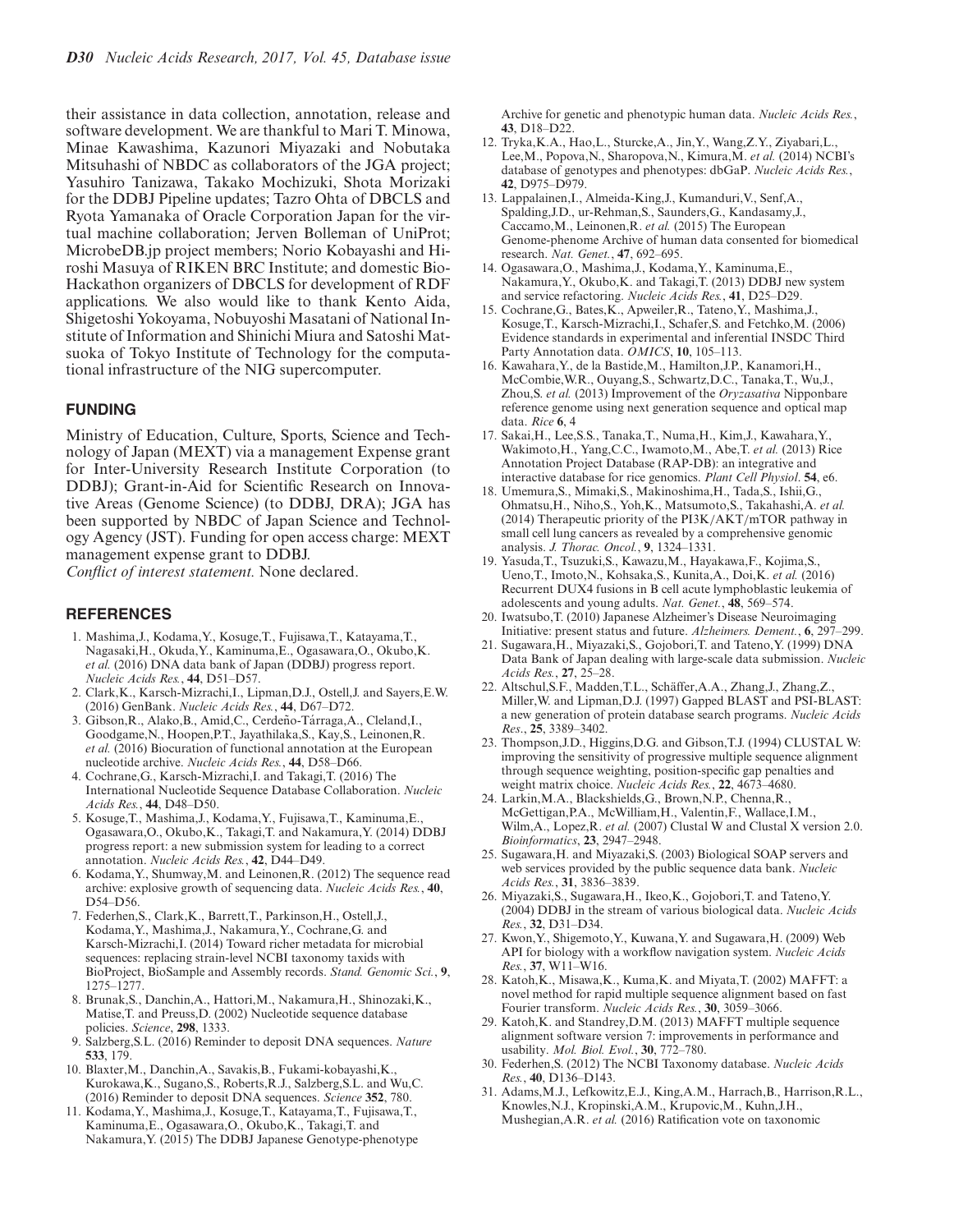<span id="page-5-0"></span>their assistance in data collection, annotation, release and software development. We are thankful to Mari T. Minowa, Minae Kawashima, Kazunori Miyazaki and Nobutaka Mitsuhashi of NBDC as collaborators of the JGA project; Yasuhiro Tanizawa, Takako Mochizuki, Shota Morizaki for the DDBJ Pipeline updates; Tazro Ohta of DBCLS and Ryota Yamanaka of Oracle Corporation Japan for the virtual machine collaboration; Jerven Bolleman of UniProt; MicrobeDB.jp project members; Norio Kobayashi and Hiroshi Masuya of RIKEN BRC Institute; and domestic Bio-Hackathon organizers of DBCLS for development of RDF applications. We also would like to thank Kento Aida, Shigetoshi Yokoyama, Nobuyoshi Masatani of National Institute of Information and Shinichi Miura and Satoshi Matsuoka of Tokyo Institute of Technology for the computational infrastructure of the NIG supercomputer.

## **FUNDING**

Ministry of Education, Culture, Sports, Science and Technology of Japan (MEXT) via a management Expense grant for Inter-University Research Institute Corporation (to DDBJ); Grant-in-Aid for Scientific Research on Innovative Areas (Genome Science) (to DDBJ, DRA); JGA has been supported by NBDC of Japan Science and Technology Agency (JST). Funding for open access charge: MEXT management expense grant to DDBJ.

*Conflict of interest statement.* None declared.

#### **REFERENCES**

- 1. Mashima,J., Kodama,Y., Kosuge,T., Fujisawa,T., Katayama,T., Nagasaki,H., Okuda,Y., Kaminuma,E., Ogasawara,O., Okubo,K. *et al.* (2016) DNA data bank of Japan (DDBJ) progress report. *Nucleic Acids Res.*, **44**, D51–D57.
- 2. Clark,K., Karsch-Mizrachi,I., Lipman,D.J., Ostell,J. and Sayers,E.W. (2016) GenBank. *Nucleic Acids Res.*, **44**, D67–D72.
- 3. Gibson, R., Alako, B., Amid, C., Cerdeño-Tárraga, A., Cleland, I., Goodgame,N., Hoopen,P.T., Jayathilaka,S., Kay,S., Leinonen,R. *et al.* (2016) Biocuration of functional annotation at the European nucleotide archive. *Nucleic Acids Res.*, **44**, D58–D66.
- 4. Cochrane,G., Karsch-Mizrachi,I. and Takagi,T. (2016) The International Nucleotide Sequence Database Collaboration. *Nucleic Acids Res.*, **44**, D48–D50.
- 5. Kosuge,T., Mashima,J., Kodama,Y., Fujisawa,T., Kaminuma,E., Ogasawara,O., Okubo,K., Takagi,T. and Nakamura,Y. (2014) DDBJ progress report: a new submission system for leading to a correct annotation. *Nucleic Acids Res.*, **42**, D44–D49.
- 6. Kodama,Y., Shumway,M. and Leinonen,R. (2012) The sequence read archive: explosive growth of sequencing data. *Nucleic Acids Res.*, **40**, D54–D56.
- 7. Federhen,S., Clark,K., Barrett,T., Parkinson,H., Ostell,J., Kodama,Y., Mashima,J., Nakamura,Y., Cochrane,G. and Karsch-Mizrachi,I. (2014) Toward richer metadata for microbial sequences: replacing strain-level NCBI taxonomy taxids with BioProject, BioSample and Assembly records. *Stand. Genomic Sci.*, **9**, 1275–1277.
- 8. Brunak,S., Danchin,A., Hattori,M., Nakamura,H., Shinozaki,K., Matise,T. and Preuss,D. (2002) Nucleotide sequence database policies. *Science*, **298**, 1333.
- 9. Salzberg,S.L. (2016) Reminder to deposit DNA sequences. *Nature* **533**, 179.
- 10. Blaxter,M., Danchin,A., Savakis,B., Fukami-kobayashi,K., Kurokawa,K., Sugano,S., Roberts,R.J., Salzberg,S.L. and Wu,C. (2016) Reminder to deposit DNA sequences. *Science* **352**, 780.
- 11. Kodama,Y., Mashima,J., Kosuge,T., Katayama,T., Fujisawa,T., Kaminuma,E., Ogasawara,O., Okubo,K., Takagi,T. and Nakamura,Y. (2015) The DDBJ Japanese Genotype-phenotype

Archive for genetic and phenotypic human data. *Nucleic Acids Res.*, **43**, D18–D22.

- 12. Tryka,K.A., Hao,L., Sturcke,A., Jin,Y., Wang,Z.Y., Ziyabari,L., Lee, M., Popova, N., Sharopova, N., Kimura, M. *et al.* (2014) NCBI's database of genotypes and phenotypes: dbGaP. *Nucleic Acids Res.*, **42**, D975–D979.
- 13. Lappalainen,I., Almeida-King,J., Kumanduri,V., Senf,A., Spalding,J.D., ur-Rehman,S., Saunders,G., Kandasamy,J., Caccamo,M., Leinonen,R. *et al.* (2015) The European Genome-phenome Archive of human data consented for biomedical research. *Nat. Genet.*, **47**, 692–695.
- 14. Ogasawara,O., Mashima,J., Kodama,Y., Kaminuma,E., Nakamura,Y., Okubo,K. and Takagi,T. (2013) DDBJ new system and service refactoring. *Nucleic Acids Res.*, **41**, D25–D29.
- 15. Cochrane,G., Bates,K., Apweiler,R., Tateno,Y., Mashima,J., Kosuge,T., Karsch-Mizrachi,I., Schafer,S. and Fetchko,M. (2006) Evidence standards in experimental and inferential INSDC Third Party Annotation data. *OMICS*, **10**, 105–113.
- 16. Kawahara,Y., de la Bastide,M., Hamilton,J.P., Kanamori,H., McCombie,W.R., Ouyang,S., Schwartz,D.C., Tanaka,T., Wu,J., Zhou,S. *et al.* (2013) Improvement of the *Oryzasativa* Nipponbare reference genome using next generation sequence and optical map data. *Rice* **6**, 4
- 17. Sakai,H., Lee,S.S., Tanaka,T., Numa,H., Kim,J., Kawahara,Y., Wakimoto,H., Yang,C.C., Iwamoto,M., Abe,T. *et al.* (2013) Rice Annotation Project Database (RAP-DB): an integrative and interactive database for rice genomics. *Plant Cell Physiol*. **54**, e6.
- 18. Umemura,S., Mimaki,S., Makinoshima,H., Tada,S., Ishii,G., Ohmatsu,H., Niho,S., Yoh,K., Matsumoto,S., Takahashi,A. *et al.* (2014) Therapeutic priority of the PI3K/AKT/mTOR pathway in small cell lung cancers as revealed by a comprehensive genomic analysis. *J. Thorac. Oncol.*, **9**, 1324–1331.
- 19. Yasuda,T., Tsuzuki,S., Kawazu,M., Hayakawa,F., Kojima,S., Ueno,T., Imoto,N., Kohsaka,S., Kunita,A., Doi,K. *et al.* (2016) Recurrent DUX4 fusions in B cell acute lymphoblastic leukemia of adolescents and young adults. *Nat. Genet.*, **48**, 569–574.
- 20. Iwatsubo,T. (2010) Japanese Alzheimer's Disease Neuroimaging Initiative: present status and future. *Alzheimers. Dement.*, **6**, 297–299.
- 21. Sugawara,H., Miyazaki,S., Gojobori,T. and Tateno,Y. (1999) DNA Data Bank of Japan dealing with large-scale data submission. *Nucleic Acids Res.*, **27**, 25–28.
- 22. Altschul,S.F., Madden,T.L., Schaffer,A.A., Zhang,J., Zhang,Z., ¨ Miller,W. and Lipman,D.J. (1997) Gapped BLAST and PSI-BLAST: a new generation of protein database search programs. *Nucleic Acids Res*., **25**, 3389–3402.
- 23. Thompson,J.D., Higgins,D.G. and Gibson,T.J. (1994) CLUSTAL W: improving the sensitivity of progressive multiple sequence alignment through sequence weighting, position-specific gap penalties and weight matrix choice. *Nucleic Acids Res.*, **22**, 4673–4680.
- 24. Larkin,M.A., Blackshields,G., Brown,N.P., Chenna,R., McGettigan,P.A., McWilliam,H., Valentin,F., Wallace,I.M., Wilm,A., Lopez,R. *et al.* (2007) Clustal W and Clustal X version 2.0. *Bioinformatics*, **23**, 2947–2948.
- 25. Sugawara,H. and Miyazaki,S. (2003) Biological SOAP servers and web services provided by the public sequence data bank. *Nucleic Acids Res.*, **31**, 3836–3839.
- 26. Miyazaki,S., Sugawara,H., Ikeo,K., Gojobori,T. and Tateno,Y. (2004) DDBJ in the stream of various biological data. *Nucleic Acids Res.*, **32**, D31–D34.
- 27. Kwon,Y., Shigemoto,Y., Kuwana,Y. and Sugawara,H. (2009) Web API for biology with a workflow navigation system. *Nucleic Acids Res.*, **37**, W11–W16.
- 28. Katoh,K., Misawa,K., Kuma,K. and Miyata,T. (2002) MAFFT: a novel method for rapid multiple sequence alignment based on fast Fourier transform. *Nucleic Acids Res.*, **30**, 3059–3066.
- 29. Katoh,K. and Standrey,D.M. (2013) MAFFT multiple sequence alignment software version 7: improvements in performance and usability. *Mol. Biol. Evol.*, **30**, 772–780.
- 30. Federhen,S. (2012) The NCBI Taxonomy database. *Nucleic Acids Res.*, **40**, D136–D143.
- 31. Adams,M.J., Lefkowitz,E.J., King,A.M., Harrach,B., Harrison,R.L., Knowles,N.J., Kropinski,A.M., Krupovic,M., Kuhn,J.H., Mushegian,A.R. *et al.* (2016) Ratification vote on taxonomic